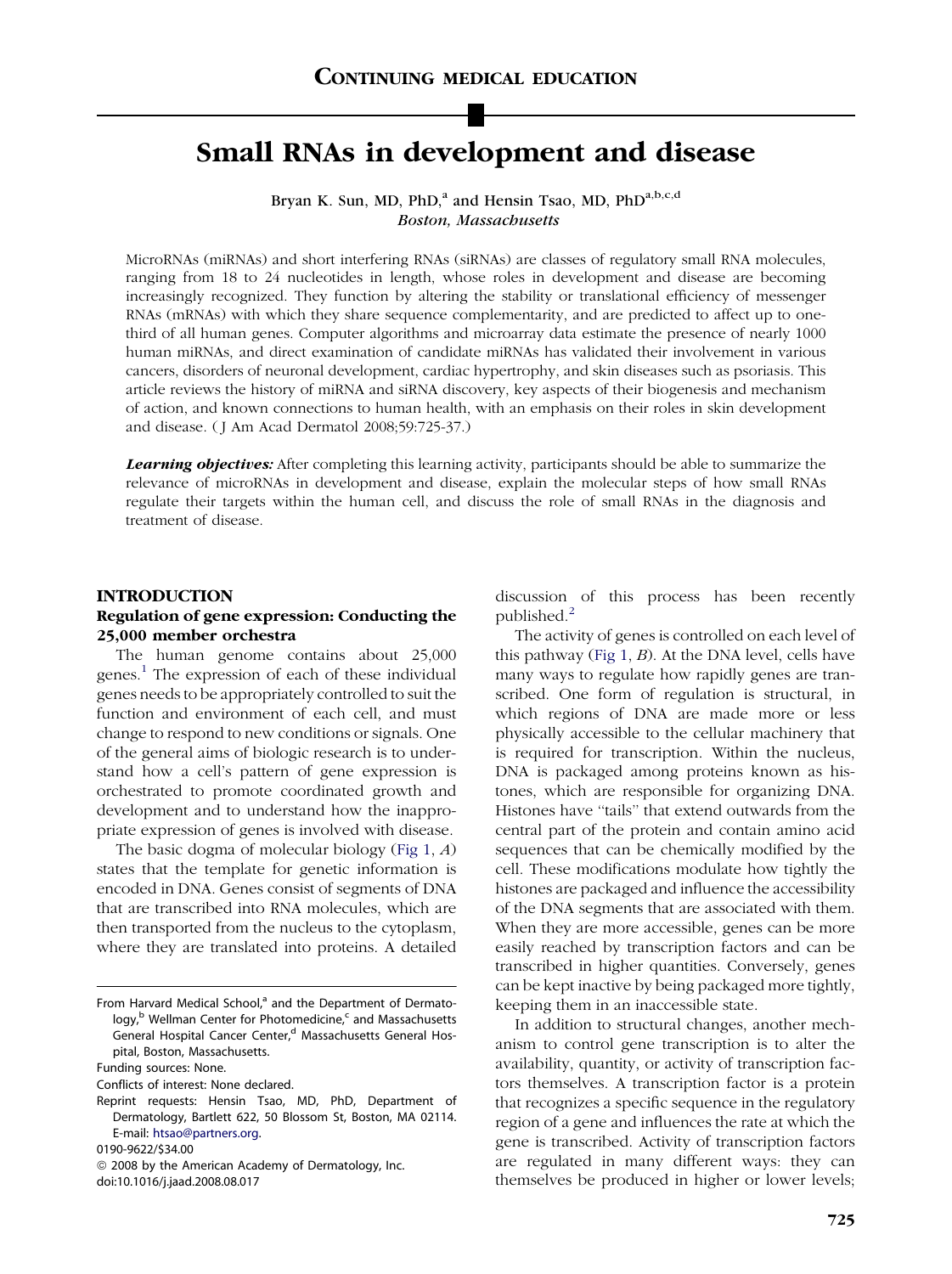# Small RNAs in development and disease

Bryan K. Sun, MD, PhD,<sup>a</sup> and Hensin Tsao, MD, PhD<sup>a,b,c,d</sup> Boston, Massachusetts

MicroRNAs (miRNAs) and short interfering RNAs (siRNAs) are classes of regulatory small RNA molecules, ranging from 18 to 24 nucleotides in length, whose roles in development and disease are becoming increasingly recognized. They function by altering the stability or translational efficiency of messenger RNAs (mRNAs) with which they share sequence complementarity, and are predicted to affect up to onethird of all human genes. Computer algorithms and microarray data estimate the presence of nearly 1000 human miRNAs, and direct examination of candidate miRNAs has validated their involvement in various cancers, disorders of neuronal development, cardiac hypertrophy, and skin diseases such as psoriasis. This article reviews the history of miRNA and siRNA discovery, key aspects of their biogenesis and mechanism of action, and known connections to human health, with an emphasis on their roles in skin development and disease. ( J Am Acad Dermatol 2008;59:725-37.)

Learning objectives: After completing this learning activity, participants should be able to summarize the relevance of microRNAs in development and disease, explain the molecular steps of how small RNAs regulate their targets within the human cell, and discuss the role of small RNAs in the diagnosis and treatment of disease.

### INTRODUCTION

### Regulation of gene expression: Conducting the 25,000 member orchestra

The human genome contains about 25,000 genes.<sup>[1](#page-10-0)</sup> The expression of each of these individual genes needs to be appropriately controlled to suit the function and environment of each cell, and must change to respond to new conditions or signals. One of the general aims of biologic research is to understand how a cell's pattern of gene expression is orchestrated to promote coordinated growth and development and to understand how the inappropriate expression of genes is involved with disease.

The basic dogma of molecular biology (Fig  $1, A$ ) states that the template for genetic information is encoded in DNA. Genes consist of segments of DNA that are transcribed into RNA molecules, which are then transported from the nucleus to the cytoplasm, where they are translated into proteins. A detailed

doi:10.1016/j.jaad.2008.08.017

discussion of this process has been recently published.<sup>[2](#page-10-0)</sup>

The activity of genes is controlled on each level of this pathway [\(Fig 1](#page-1-0),  $B$ ). At the DNA level, cells have many ways to regulate how rapidly genes are transcribed. One form of regulation is structural, in which regions of DNA are made more or less physically accessible to the cellular machinery that is required for transcription. Within the nucleus, DNA is packaged among proteins known as histones, which are responsible for organizing DNA. Histones have ''tails'' that extend outwards from the central part of the protein and contain amino acid sequences that can be chemically modified by the cell. These modifications modulate how tightly the histones are packaged and influence the accessibility of the DNA segments that are associated with them. When they are more accessible, genes can be more easily reached by transcription factors and can be transcribed in higher quantities. Conversely, genes can be kept inactive by being packaged more tightly, keeping them in an inaccessible state.

In addition to structural changes, another mechanism to control gene transcription is to alter the availability, quantity, or activity of transcription factors themselves. A transcription factor is a protein that recognizes a specific sequence in the regulatory region of a gene and influences the rate at which the gene is transcribed. Activity of transcription factors are regulated in many different ways: they can themselves be produced in higher or lower levels;

From Harvard Medical School,<sup>a</sup> and the Department of Dermatology,<sup>b</sup> Wellman Center for Photomedicine,<sup>c</sup> and Massachusetts General Hospital Cancer Center,<sup>d</sup> Massachusetts General Hospital, Boston, Massachusetts.

Funding sources: None.

Conflicts of interest: None declared.

Reprint requests: Hensin Tsao, MD, PhD, Department of Dermatology, Bartlett 622, 50 Blossom St, Boston, MA 02114. E-mail: [htsao@partners.org](mailto:htsao@partners.org).

<sup>0190-9622/\$34.00</sup>

 $@$  2008 by the American Academy of Dermatology, Inc.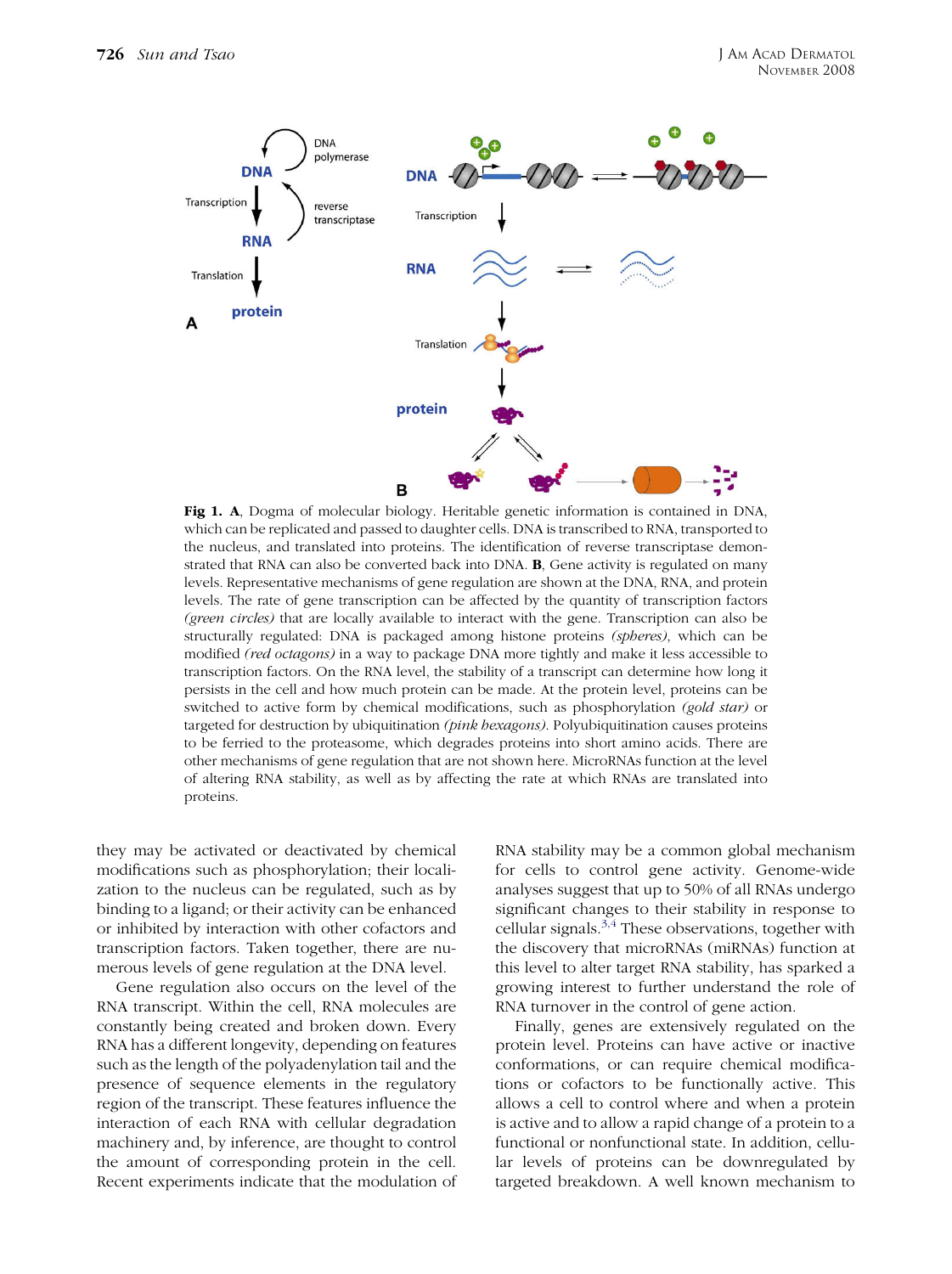<span id="page-1-0"></span>

Fig 1. A, Dogma of molecular biology. Heritable genetic information is contained in DNA, which can be replicated and passed to daughter cells. DNA is transcribed to RNA, transported to the nucleus, and translated into proteins. The identification of reverse transcriptase demonstrated that RNA can also be converted back into DNA. **B**, Gene activity is regulated on many levels. Representative mechanisms of gene regulation are shown at the DNA, RNA, and protein levels. The rate of gene transcription can be affected by the quantity of transcription factors (green circles) that are locally available to interact with the gene. Transcription can also be structurally regulated: DNA is packaged among histone proteins (spheres), which can be modified (red octagons) in a way to package DNA more tightly and make it less accessible to transcription factors. On the RNA level, the stability of a transcript can determine how long it persists in the cell and how much protein can be made. At the protein level, proteins can be switched to active form by chemical modifications, such as phosphorylation (gold star) or targeted for destruction by ubiquitination (pink hexagons). Polyubiquitination causes proteins to be ferried to the proteasome, which degrades proteins into short amino acids. There are other mechanisms of gene regulation that are not shown here. MicroRNAs function at the level of altering RNA stability, as well as by affecting the rate at which RNAs are translated into proteins.

they may be activated or deactivated by chemical modifications such as phosphorylation; their localization to the nucleus can be regulated, such as by binding to a ligand; or their activity can be enhanced or inhibited by interaction with other cofactors and transcription factors. Taken together, there are numerous levels of gene regulation at the DNA level.

Gene regulation also occurs on the level of the RNA transcript. Within the cell, RNA molecules are constantly being created and broken down. Every RNA has a different longevity, depending on features such as the length of the polyadenylation tail and the presence of sequence elements in the regulatory region of the transcript. These features influence the interaction of each RNA with cellular degradation machinery and, by inference, are thought to control the amount of corresponding protein in the cell. Recent experiments indicate that the modulation of RNA stability may be a common global mechanism for cells to control gene activity. Genome-wide analyses suggest that up to 50% of all RNAs undergo significant changes to their stability in response to cellular signals. $3,4$  These observations, together with the discovery that microRNAs (miRNAs) function at this level to alter target RNA stability, has sparked a growing interest to further understand the role of RNA turnover in the control of gene action.

Finally, genes are extensively regulated on the protein level. Proteins can have active or inactive conformations, or can require chemical modifications or cofactors to be functionally active. This allows a cell to control where and when a protein is active and to allow a rapid change of a protein to a functional or nonfunctional state. In addition, cellular levels of proteins can be downregulated by targeted breakdown. A well known mechanism to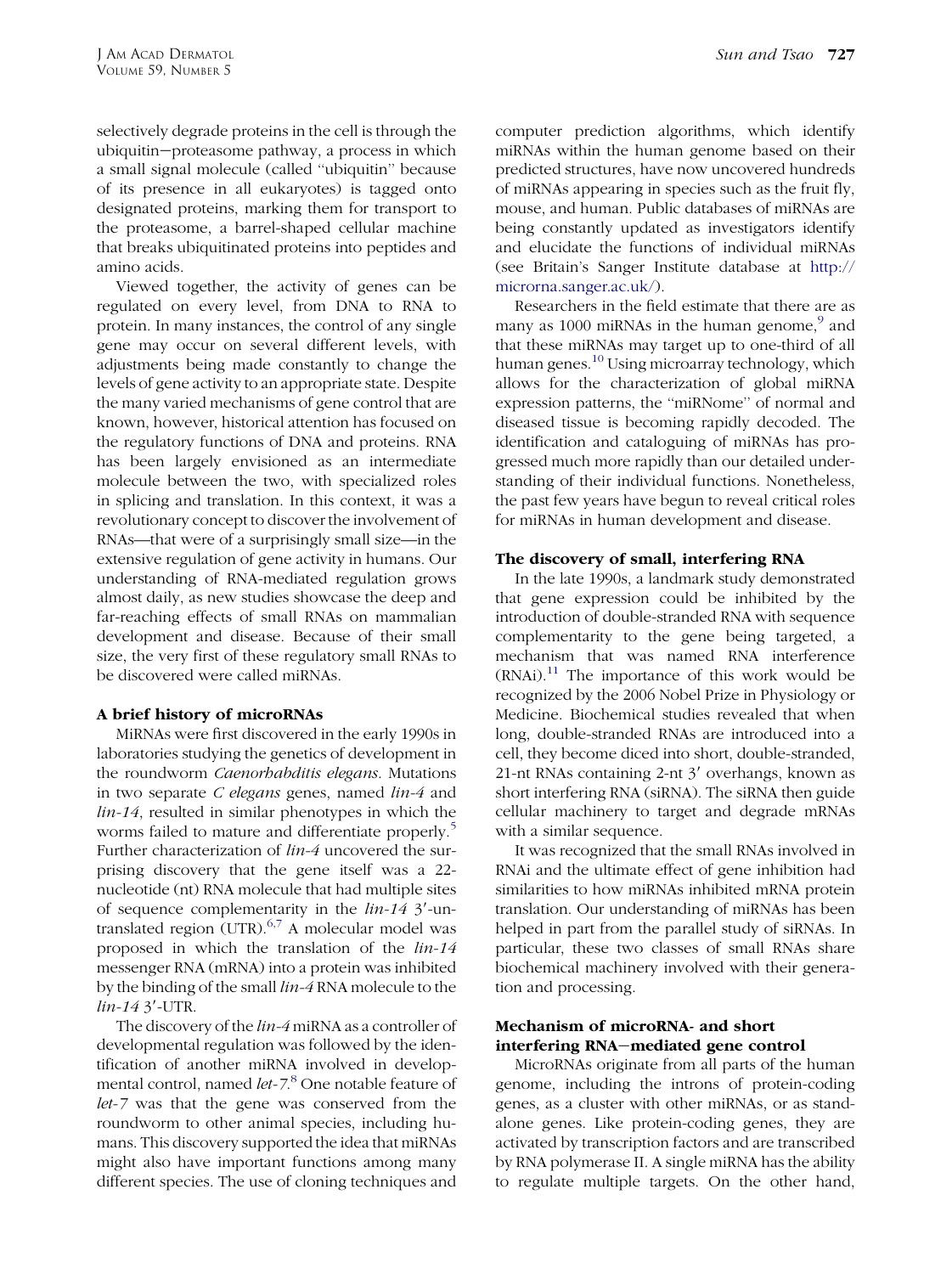selectively degrade proteins in the cell is through the ubiquitin-proteasome pathway, a process in which a small signal molecule (called ''ubiquitin'' because of its presence in all eukaryotes) is tagged onto designated proteins, marking them for transport to the proteasome, a barrel-shaped cellular machine that breaks ubiquitinated proteins into peptides and amino acids.

Viewed together, the activity of genes can be regulated on every level, from DNA to RNA to protein. In many instances, the control of any single gene may occur on several different levels, with adjustments being made constantly to change the levels of gene activity to an appropriate state. Despite the many varied mechanisms of gene control that are known, however, historical attention has focused on the regulatory functions of DNA and proteins. RNA has been largely envisioned as an intermediate molecule between the two, with specialized roles in splicing and translation. In this context, it was a revolutionary concept to discover the involvement of RNAs—that were of a surprisingly small size—in the extensive regulation of gene activity in humans. Our understanding of RNA-mediated regulation grows almost daily, as new studies showcase the deep and far-reaching effects of small RNAs on mammalian development and disease. Because of their small size, the very first of these regulatory small RNAs to be discovered were called miRNAs.

### A brief history of microRNAs

MiRNAs were first discovered in the early 1990s in laboratories studying the genetics of development in the roundworm *Caenorhabditis elegans*. Mutations in two separate C elegans genes, named lin-4 and lin-14, resulted in similar phenotypes in which the worms failed to mature and differentiate properly.<sup>[5](#page-10-0)</sup> Further characterization of *lin-4* uncovered the surprising discovery that the gene itself was a 22 nucleotide (nt) RNA molecule that had multiple sites of sequence complementarity in the  $lin-14$  3'-untranslated region  $(UTR)$ <sup>[6,7](#page-10-0)</sup> A molecular model was proposed in which the translation of the lin-14 messenger RNA (mRNA) into a protein was inhibited by the binding of the small lin-4 RNA molecule to the  $lin-14$  3'-UTR.

The discovery of the *lin-4* miRNA as a controller of developmental regulation was followed by the identification of another miRNA involved in developmental control, named *let*-7.<sup>[8](#page-10-0)</sup> One notable feature of let-7 was that the gene was conserved from the roundworm to other animal species, including humans. This discovery supported the idea that miRNAs might also have important functions among many different species. The use of cloning techniques and computer prediction algorithms, which identify miRNAs within the human genome based on their predicted structures, have now uncovered hundreds of miRNAs appearing in species such as the fruit fly, mouse, and human. Public databases of miRNAs are being constantly updated as investigators identify and elucidate the functions of individual miRNAs (see Britain's Sanger Institute database at [http://](http://microrna.sanger.ac.uk/) [microrna.sanger.ac.uk/\)](http://microrna.sanger.ac.uk/).

Researchers in the field estimate that there are as many as  $1000$  miRNAs in the human genome, $9$  and that these miRNAs may target up to one-third of all human genes.<sup>[10](#page-10-0)</sup> Using microarray technology, which allows for the characterization of global miRNA expression patterns, the ''miRNome'' of normal and diseased tissue is becoming rapidly decoded. The identification and cataloguing of miRNAs has progressed much more rapidly than our detailed understanding of their individual functions. Nonetheless, the past few years have begun to reveal critical roles for miRNAs in human development and disease.

### The discovery of small, interfering RNA

In the late 1990s, a landmark study demonstrated that gene expression could be inhibited by the introduction of double-stranded RNA with sequence complementarity to the gene being targeted, a mechanism that was named RNA interference  $(RNAi).<sup>11</sup>$  The importance of this work would be recognized by the 2006 Nobel Prize in Physiology or Medicine. Biochemical studies revealed that when long, double-stranded RNAs are introduced into a cell, they become diced into short, double-stranded, 21-nt RNAs containing 2-nt  $3'$  overhangs, known as short interfering RNA (siRNA). The siRNA then guide cellular machinery to target and degrade mRNAs with a similar sequence.

It was recognized that the small RNAs involved in RNAi and the ultimate effect of gene inhibition had similarities to how miRNAs inhibited mRNA protein translation. Our understanding of miRNAs has been helped in part from the parallel study of siRNAs. In particular, these two classes of small RNAs share biochemical machinery involved with their generation and processing.

### Mechanism of microRNA- and short interfering RNA-mediated gene control

MicroRNAs originate from all parts of the human genome, including the introns of protein-coding genes, as a cluster with other miRNAs, or as standalone genes. Like protein-coding genes, they are activated by transcription factors and are transcribed by RNA polymerase II. A single miRNA has the ability to regulate multiple targets. On the other hand,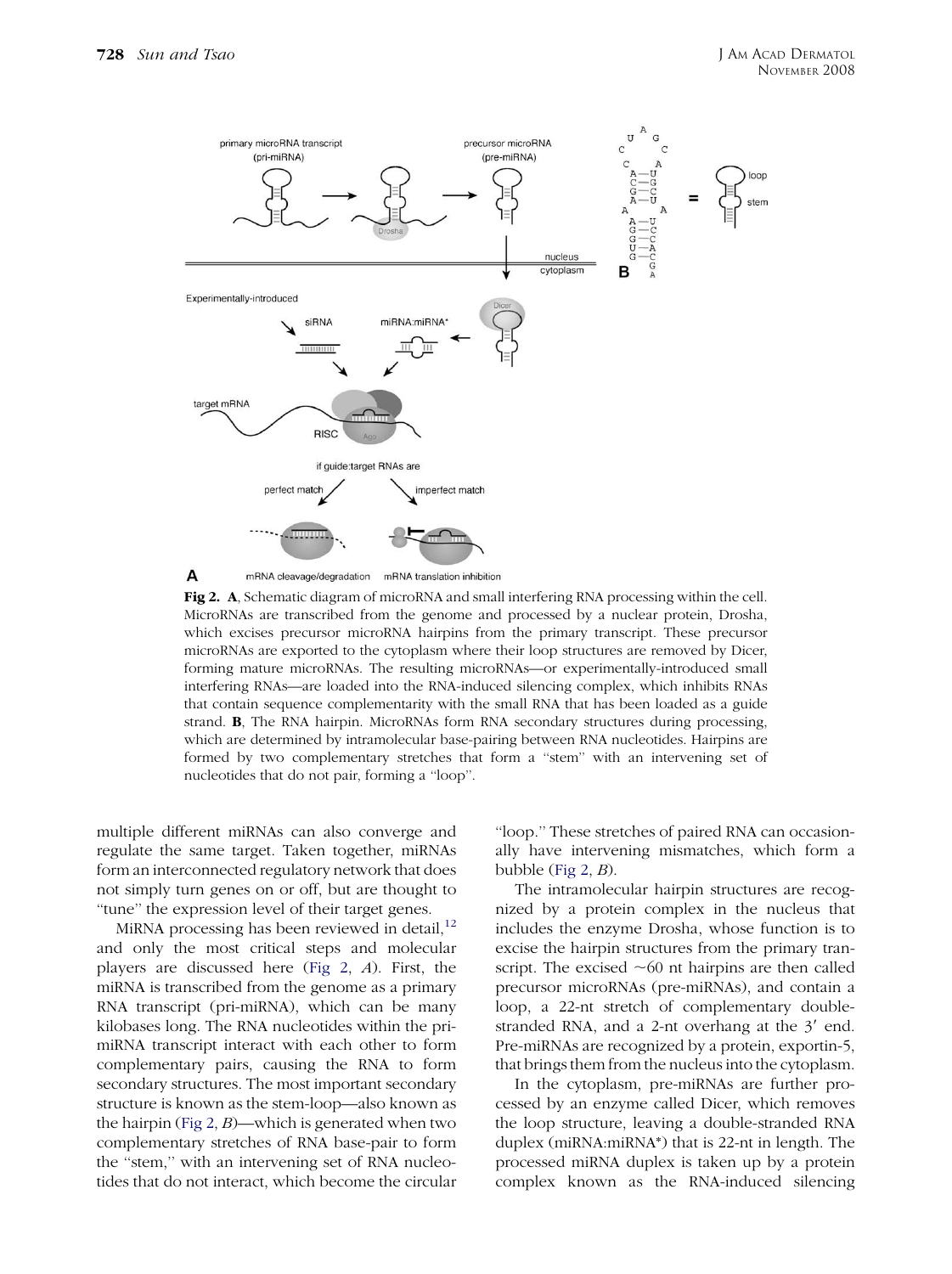<span id="page-3-0"></span>

A mRNA cleavage/degradation mRNA translation inhibition

Fig 2. A, Schematic diagram of microRNA and small interfering RNA processing within the cell. MicroRNAs are transcribed from the genome and processed by a nuclear protein, Drosha, which excises precursor microRNA hairpins from the primary transcript. These precursor microRNAs are exported to the cytoplasm where their loop structures are removed by Dicer, forming mature microRNAs. The resulting microRNAs—or experimentally-introduced small interfering RNAs—are loaded into the RNA-induced silencing complex, which inhibits RNAs that contain sequence complementarity with the small RNA that has been loaded as a guide strand. B, The RNA hairpin. MicroRNAs form RNA secondary structures during processing, which are determined by intramolecular base-pairing between RNA nucleotides. Hairpins are formed by two complementary stretches that form a ''stem'' with an intervening set of nucleotides that do not pair, forming a ''loop''.

multiple different miRNAs can also converge and regulate the same target. Taken together, miRNAs form an interconnected regulatory network that does not simply turn genes on or off, but are thought to ''tune'' the expression level of their target genes.

MiRNA processing has been reviewed in detail,<sup>[12](#page-11-0)</sup> and only the most critical steps and molecular players are discussed here (Fig 2, A). First, the miRNA is transcribed from the genome as a primary RNA transcript (pri-miRNA), which can be many kilobases long. The RNA nucleotides within the primiRNA transcript interact with each other to form complementary pairs, causing the RNA to form secondary structures. The most important secondary structure is known as the stem-loop—also known as the hairpin (Fig 2,  $B$ )—which is generated when two complementary stretches of RNA base-pair to form the ''stem,'' with an intervening set of RNA nucleotides that do not interact, which become the circular

''loop.'' These stretches of paired RNA can occasionally have intervening mismatches, which form a bubble (Fig  $2, B$ ).

The intramolecular hairpin structures are recognized by a protein complex in the nucleus that includes the enzyme Drosha, whose function is to excise the hairpin structures from the primary transcript. The excised  $\sim 60$  nt hairpins are then called precursor microRNAs (pre-miRNAs), and contain a loop, a 22-nt stretch of complementary doublestranded RNA, and a 2-nt overhang at the  $3'$  end. Pre-miRNAs are recognized by a protein, exportin-5, that brings them from the nucleus into the cytoplasm.

In the cytoplasm, pre-miRNAs are further processed by an enzyme called Dicer, which removes the loop structure, leaving a double-stranded RNA duplex (miRNA:miRNA\*) that is 22-nt in length. The processed miRNA duplex is taken up by a protein complex known as the RNA-induced silencing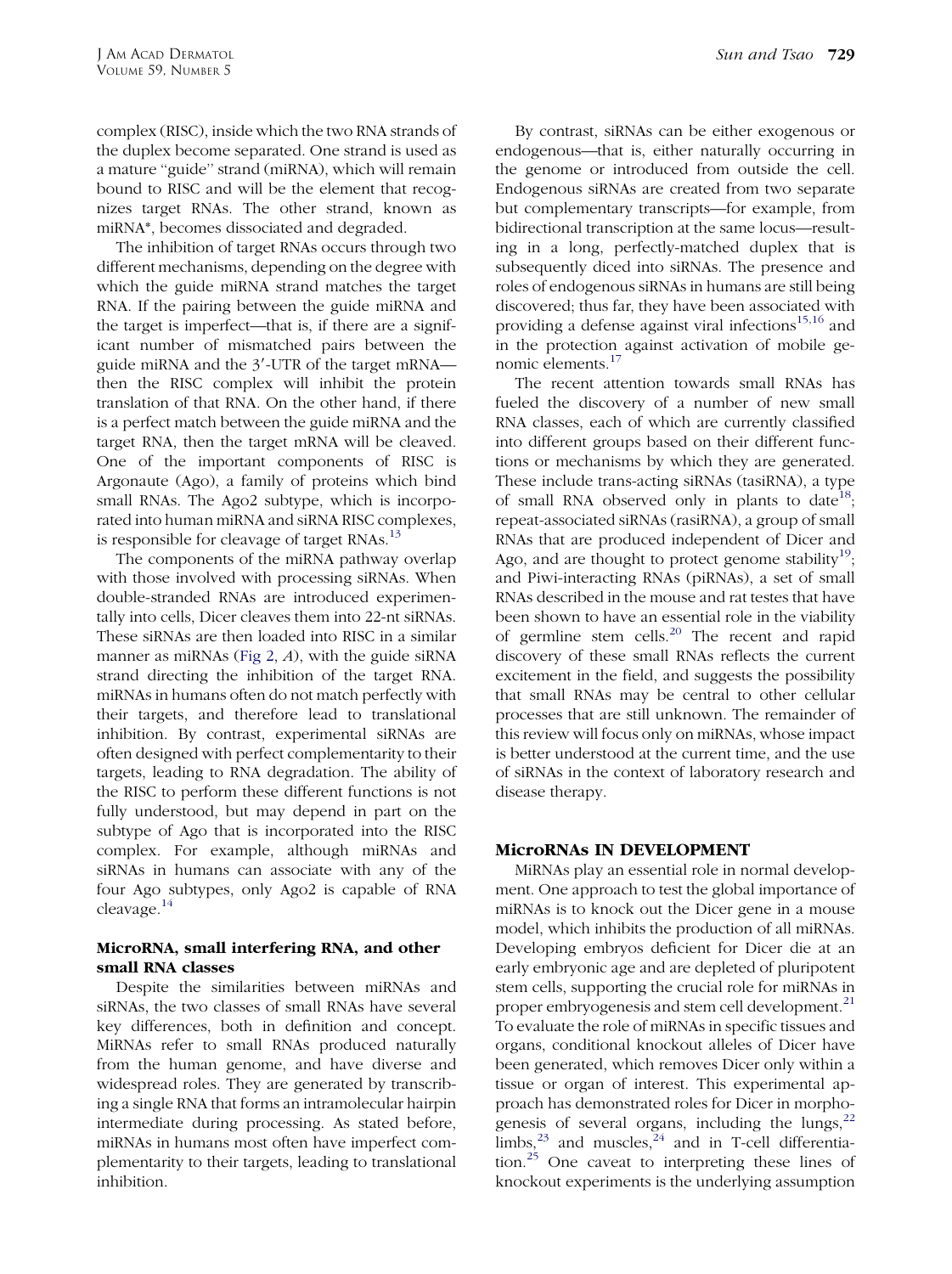complex (RISC), inside which the two RNA strands of the duplex become separated. One strand is used as a mature ''guide'' strand (miRNA), which will remain bound to RISC and will be the element that recognizes target RNAs. The other strand, known as miRNA\*, becomes dissociated and degraded.

The inhibition of target RNAs occurs through two different mechanisms, depending on the degree with which the guide miRNA strand matches the target RNA. If the pairing between the guide miRNA and the target is imperfect—that is, if there are a significant number of mismatched pairs between the guide miRNA and the  $3'$ -UTR of the target mRNA then the RISC complex will inhibit the protein translation of that RNA. On the other hand, if there is a perfect match between the guide miRNA and the target RNA, then the target mRNA will be cleaved. One of the important components of RISC is Argonaute (Ago), a family of proteins which bind small RNAs. The Ago2 subtype, which is incorporated into human miRNA and siRNA RISC complexes, is responsible for cleavage of target RNAs.<sup>13</sup>

The components of the miRNA pathway overlap with those involved with processing siRNAs. When double-stranded RNAs are introduced experimentally into cells, Dicer cleaves them into 22-nt siRNAs. These siRNAs are then loaded into RISC in a similar manner as miRNAs [\(Fig 2](#page-3-0),  $A$ ), with the guide siRNA strand directing the inhibition of the target RNA. miRNAs in humans often do not match perfectly with their targets, and therefore lead to translational inhibition. By contrast, experimental siRNAs are often designed with perfect complementarity to their targets, leading to RNA degradation. The ability of the RISC to perform these different functions is not fully understood, but may depend in part on the subtype of Ago that is incorporated into the RISC complex. For example, although miRNAs and siRNAs in humans can associate with any of the four Ago subtypes, only Ago2 is capable of RNA cleavage.[14](#page-11-0)

### MicroRNA, small interfering RNA, and other small RNA classes

Despite the similarities between miRNAs and siRNAs, the two classes of small RNAs have several key differences, both in definition and concept. MiRNAs refer to small RNAs produced naturally from the human genome, and have diverse and widespread roles. They are generated by transcribing a single RNA that forms an intramolecular hairpin intermediate during processing. As stated before, miRNAs in humans most often have imperfect complementarity to their targets, leading to translational inhibition.

By contrast, siRNAs can be either exogenous or endogenous—that is, either naturally occurring in the genome or introduced from outside the cell. Endogenous siRNAs are created from two separate but complementary transcripts—for example, from bidirectional transcription at the same locus—resulting in a long, perfectly-matched duplex that is subsequently diced into siRNAs. The presence and roles of endogenous siRNAs in humans are still being discovered; thus far, they have been associated with providing a defense against viral infections<sup>[15,16](#page-11-0)</sup> and in the protection against activation of mobile genomic elements.[17](#page-11-0)

The recent attention towards small RNAs has fueled the discovery of a number of new small RNA classes, each of which are currently classified into different groups based on their different functions or mechanisms by which they are generated. These include trans-acting siRNAs (tasiRNA), a type of small RNA observed only in plants to date<sup>[18](#page-11-0)</sup>; repeat-associated siRNAs (rasiRNA), a group of small RNAs that are produced independent of Dicer and Ago, and are thought to protect genome stability<sup>[19](#page-11-0)</sup>; and Piwi-interacting RNAs (piRNAs), a set of small RNAs described in the mouse and rat testes that have been shown to have an essential role in the viability of germline stem cells. $^{20}$  $^{20}$  $^{20}$  The recent and rapid discovery of these small RNAs reflects the current excitement in the field, and suggests the possibility that small RNAs may be central to other cellular processes that are still unknown. The remainder of this review will focus only on miRNAs, whose impact is better understood at the current time, and the use of siRNAs in the context of laboratory research and disease therapy.

## MicroRNAs IN DEVELOPMENT

MiRNAs play an essential role in normal development. One approach to test the global importance of miRNAs is to knock out the Dicer gene in a mouse model, which inhibits the production of all miRNAs. Developing embryos deficient for Dicer die at an early embryonic age and are depleted of pluripotent stem cells, supporting the crucial role for miRNAs in proper embryogenesis and stem cell development.<sup>[21](#page-11-0)</sup> To evaluate the role of miRNAs in specific tissues and organs, conditional knockout alleles of Dicer have been generated, which removes Dicer only within a tissue or organ of interest. This experimental approach has demonstrated roles for Dicer in morphogenesis of several organs, including the lungs, $^{22}$  $^{22}$  $^{22}$ limbs,<sup>[23](#page-11-0)</sup> and muscles,<sup>24</sup> and in T-cell differentiation.[25](#page-11-0) One caveat to interpreting these lines of knockout experiments is the underlying assumption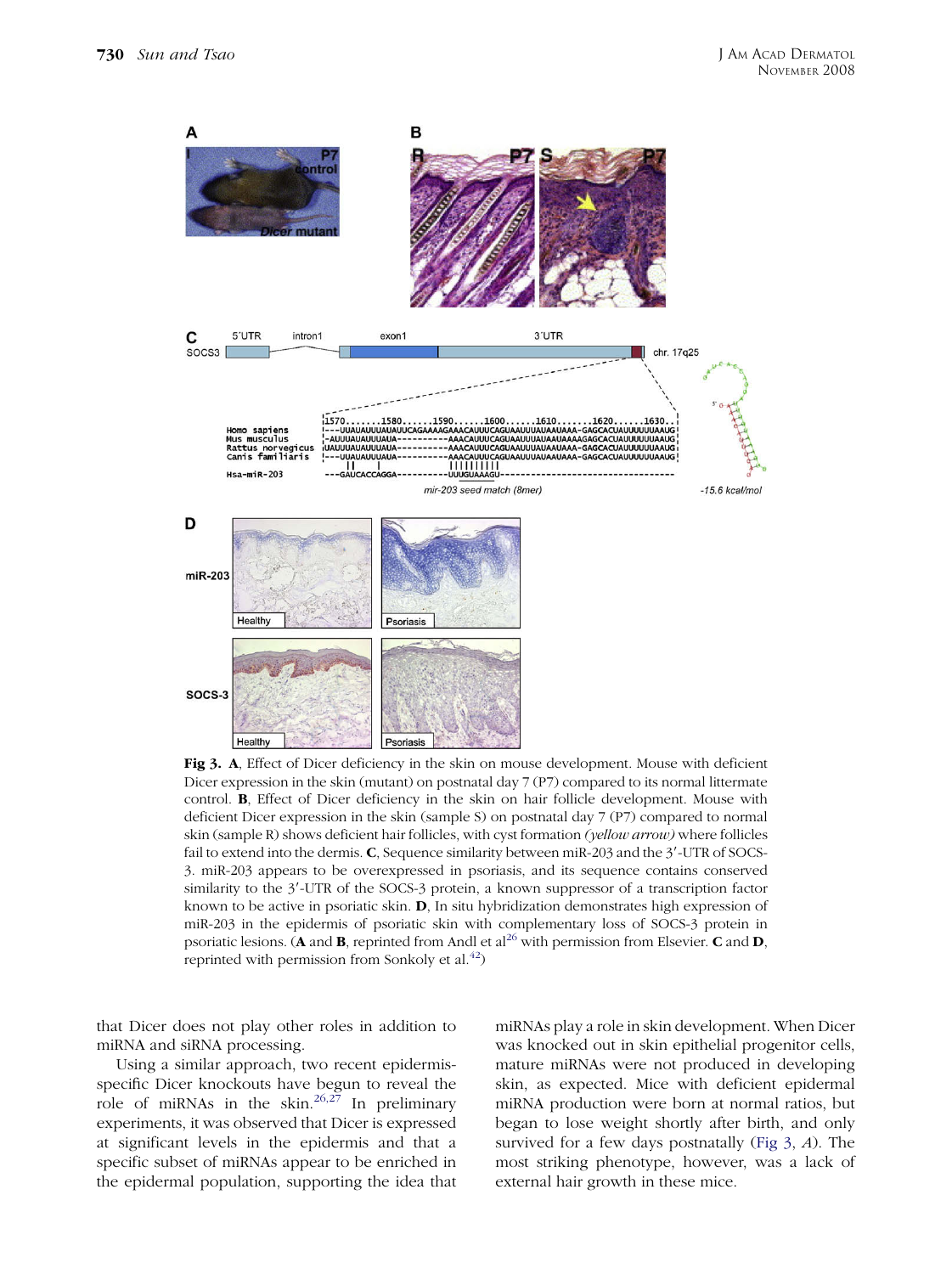<span id="page-5-0"></span>

Fig 3. A, Effect of Dicer deficiency in the skin on mouse development. Mouse with deficient Dicer expression in the skin (mutant) on postnatal day 7 (P7) compared to its normal littermate control. B, Effect of Dicer deficiency in the skin on hair follicle development. Mouse with deficient Dicer expression in the skin (sample S) on postnatal day 7 (P7) compared to normal skin (sample R) shows deficient hair follicles, with cyst formation (yellow arrow) where follicles fail to extend into the dermis.  $C$ , Sequence similarity between miR-203 and the  $3'$ -UTR of SOCS-3. miR-203 appears to be overexpressed in psoriasis, and its sequence contains conserved similarity to the 3'-UTR of the SOCS-3 protein, a known suppressor of a transcription factor known to be active in psoriatic skin. **D**, In situ hybridization demonstrates high expression of miR-203 in the epidermis of psoriatic skin with complementary loss of SOCS-3 protein in psoriatic lesions. (A and **B**, reprinted from Andl et al<sup>26</sup> with permission from Elsevier. C and **D**, reprinted with permission from Sonkoly et  $al.^{42}$  $al.^{42}$  $al.^{42}$ )

that Dicer does not play other roles in addition to miRNA and siRNA processing.

Using a similar approach, two recent epidermisspecific Dicer knockouts have begun to reveal the role of miRNAs in the skin.<sup>[26,27](#page-11-0)</sup> In preliminary experiments, it was observed that Dicer is expressed at significant levels in the epidermis and that a specific subset of miRNAs appear to be enriched in the epidermal population, supporting the idea that miRNAs play a role in skin development. When Dicer was knocked out in skin epithelial progenitor cells, mature miRNAs were not produced in developing skin, as expected. Mice with deficient epidermal miRNA production were born at normal ratios, but began to lose weight shortly after birth, and only survived for a few days postnatally (Fig  $3, A$ ). The most striking phenotype, however, was a lack of external hair growth in these mice.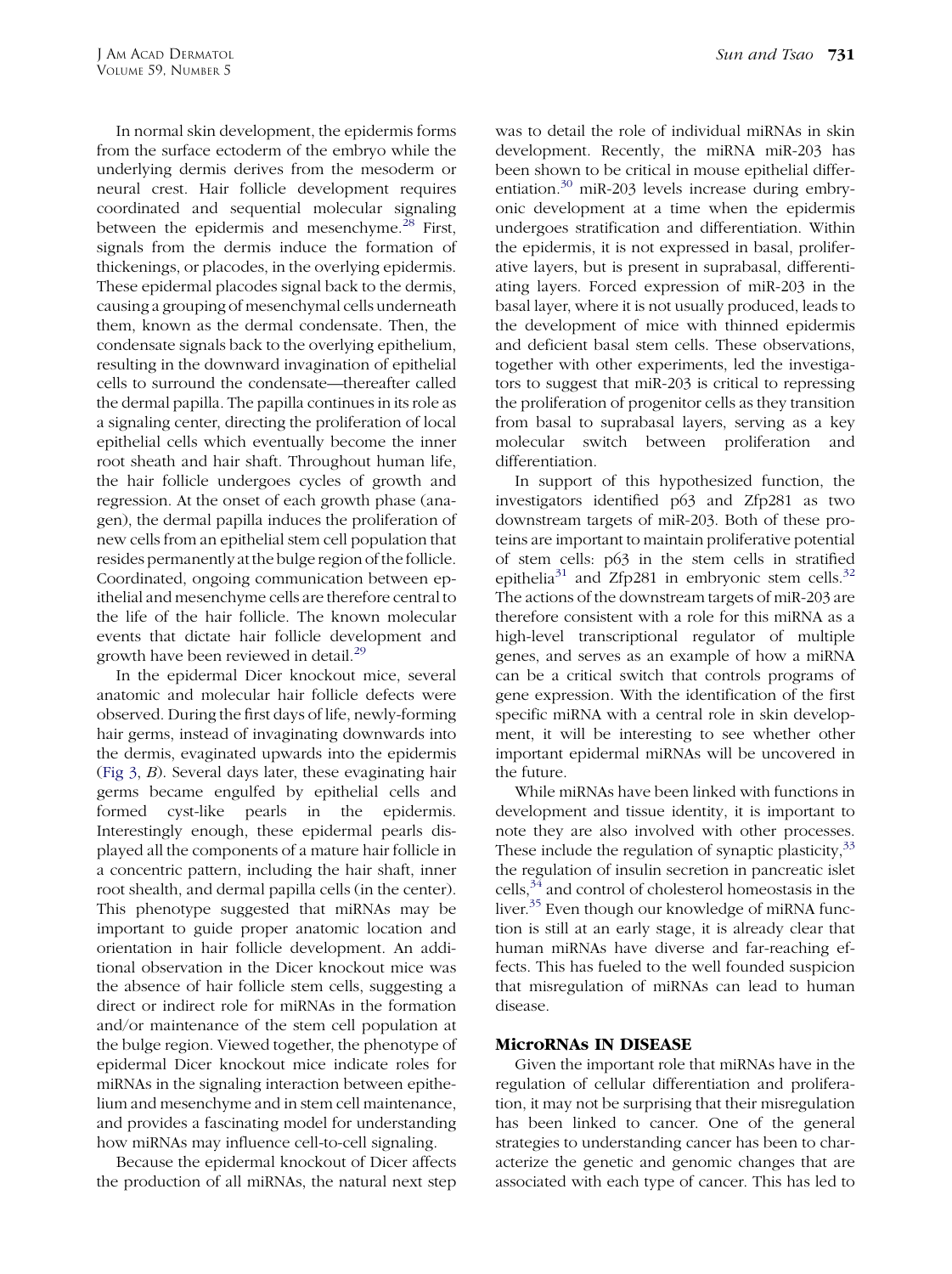In normal skin development, the epidermis forms from the surface ectoderm of the embryo while the underlying dermis derives from the mesoderm or neural crest. Hair follicle development requires coordinated and sequential molecular signaling between the epidermis and mesenchyme.<sup>[28](#page-11-0)</sup> First, signals from the dermis induce the formation of thickenings, or placodes, in the overlying epidermis. These epidermal placodes signal back to the dermis, causing a grouping of mesenchymal cells underneath them, known as the dermal condensate. Then, the condensate signals back to the overlying epithelium, resulting in the downward invagination of epithelial cells to surround the condensate—thereafter called the dermal papilla. The papilla continues in its role as a signaling center, directing the proliferation of local epithelial cells which eventually become the inner root sheath and hair shaft. Throughout human life, the hair follicle undergoes cycles of growth and regression. At the onset of each growth phase (anagen), the dermal papilla induces the proliferation of new cells from an epithelial stem cell population that resides permanently at the bulge region of the follicle. Coordinated, ongoing communication between epithelial and mesenchyme cells are therefore central to the life of the hair follicle. The known molecular events that dictate hair follicle development and growth have been reviewed in detail.<sup>[29](#page-11-0)</sup>

In the epidermal Dicer knockout mice, several anatomic and molecular hair follicle defects were observed. During the first days of life, newly-forming hair germs, instead of invaginating downwards into the dermis, evaginated upwards into the epidermis [\(Fig 3](#page-5-0), B). Several days later, these evaginating hair germs became engulfed by epithelial cells and formed cyst-like pearls in the epidermis. Interestingly enough, these epidermal pearls displayed all the components of a mature hair follicle in a concentric pattern, including the hair shaft, inner root shealth, and dermal papilla cells (in the center). This phenotype suggested that miRNAs may be important to guide proper anatomic location and orientation in hair follicle development. An additional observation in the Dicer knockout mice was the absence of hair follicle stem cells, suggesting a direct or indirect role for miRNAs in the formation and/or maintenance of the stem cell population at the bulge region. Viewed together, the phenotype of epidermal Dicer knockout mice indicate roles for miRNAs in the signaling interaction between epithelium and mesenchyme and in stem cell maintenance, and provides a fascinating model for understanding how miRNAs may influence cell-to-cell signaling.

Because the epidermal knockout of Dicer affects the production of all miRNAs, the natural next step

was to detail the role of individual miRNAs in skin development. Recently, the miRNA miR-203 has been shown to be critical in mouse epithelial differ-entiation.<sup>[30](#page-11-0)</sup> miR-203 levels increase during embryonic development at a time when the epidermis undergoes stratification and differentiation. Within the epidermis, it is not expressed in basal, proliferative layers, but is present in suprabasal, differentiating layers. Forced expression of miR-203 in the basal layer, where it is not usually produced, leads to the development of mice with thinned epidermis and deficient basal stem cells. These observations, together with other experiments, led the investigators to suggest that miR-203 is critical to repressing the proliferation of progenitor cells as they transition from basal to suprabasal layers, serving as a key molecular switch between proliferation and differentiation.

In support of this hypothesized function, the investigators identified p63 and Zfp281 as two downstream targets of miR-203. Both of these proteins are important to maintain proliferative potential of stem cells: p63 in the stem cells in stratified epithelia<sup>31</sup> and Zfp281 in embryonic stem cells.<sup>32</sup> The actions of the downstream targets of miR-203 are therefore consistent with a role for this miRNA as a high-level transcriptional regulator of multiple genes, and serves as an example of how a miRNA can be a critical switch that controls programs of gene expression. With the identification of the first specific miRNA with a central role in skin development, it will be interesting to see whether other important epidermal miRNAs will be uncovered in the future.

While miRNAs have been linked with functions in development and tissue identity, it is important to note they are also involved with other processes. These include the regulation of synaptic plasticity,  $33$ the regulation of insulin secretion in pancreatic islet cells, $34$  and control of cholesterol homeostasis in the liver.<sup>[35](#page-11-0)</sup> Even though our knowledge of miRNA function is still at an early stage, it is already clear that human miRNAs have diverse and far-reaching effects. This has fueled to the well founded suspicion that misregulation of miRNAs can lead to human disease.

### MicroRNAs IN DISEASE

Given the important role that miRNAs have in the regulation of cellular differentiation and proliferation, it may not be surprising that their misregulation has been linked to cancer. One of the general strategies to understanding cancer has been to characterize the genetic and genomic changes that are associated with each type of cancer. This has led to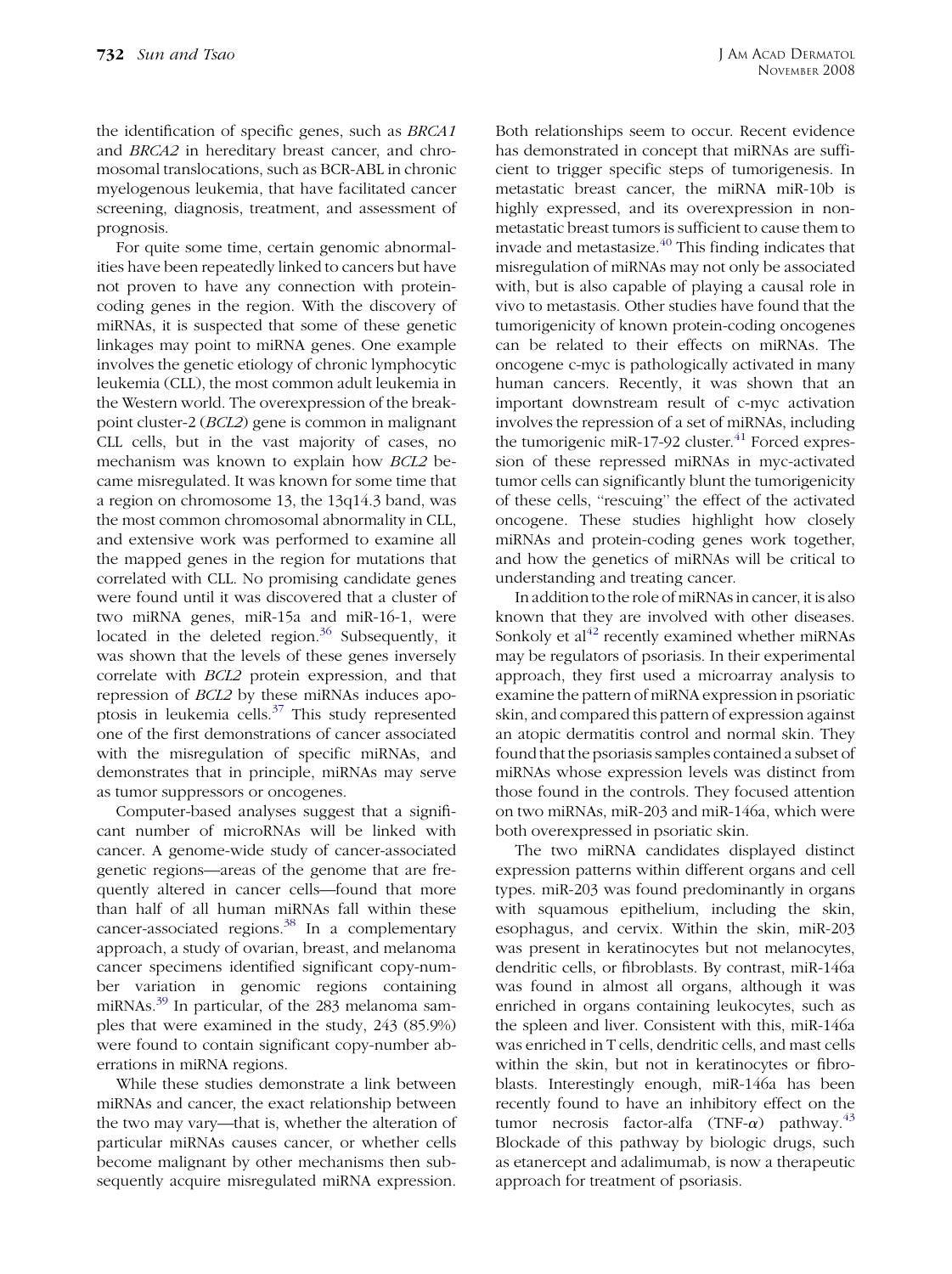the identification of specific genes, such as BRCA1 and BRCA2 in hereditary breast cancer, and chromosomal translocations, such as BCR-ABL in chronic myelogenous leukemia, that have facilitated cancer screening, diagnosis, treatment, and assessment of prognosis.

For quite some time, certain genomic abnormalities have been repeatedly linked to cancers but have not proven to have any connection with proteincoding genes in the region. With the discovery of miRNAs, it is suspected that some of these genetic linkages may point to miRNA genes. One example involves the genetic etiology of chronic lymphocytic leukemia (CLL), the most common adult leukemia in the Western world. The overexpression of the breakpoint cluster-2 (BCL2) gene is common in malignant CLL cells, but in the vast majority of cases, no mechanism was known to explain how BCL2 became misregulated. It was known for some time that a region on chromosome 13, the 13q14.3 band, was the most common chromosomal abnormality in CLL, and extensive work was performed to examine all the mapped genes in the region for mutations that correlated with CLL. No promising candidate genes were found until it was discovered that a cluster of two miRNA genes, miR-15a and miR-16-1, were located in the deleted region. $36$  Subsequently, it was shown that the levels of these genes inversely correlate with BCL2 protein expression, and that repression of BCL2 by these miRNAs induces apoptosis in leukemia cells. $37$  This study represented one of the first demonstrations of cancer associated with the misregulation of specific miRNAs, and demonstrates that in principle, miRNAs may serve as tumor suppressors or oncogenes.

Computer-based analyses suggest that a significant number of microRNAs will be linked with cancer. A genome-wide study of cancer-associated genetic regions—areas of the genome that are frequently altered in cancer cells—found that more than half of all human miRNAs fall within these cancer-associated regions. $38$  In a complementary approach, a study of ovarian, breast, and melanoma cancer specimens identified significant copy-number variation in genomic regions containing miRNAs.<sup>[39](#page-11-0)</sup> In particular, of the 283 melanoma samples that were examined in the study, 243 (85.9%) were found to contain significant copy-number aberrations in miRNA regions.

While these studies demonstrate a link between miRNAs and cancer, the exact relationship between the two may vary—that is, whether the alteration of particular miRNAs causes cancer, or whether cells become malignant by other mechanisms then subsequently acquire misregulated miRNA expression.

Both relationships seem to occur. Recent evidence has demonstrated in concept that miRNAs are sufficient to trigger specific steps of tumorigenesis. In metastatic breast cancer, the miRNA miR-10b is highly expressed, and its overexpression in nonmetastatic breast tumors is sufficient to cause them to invade and metastasize.<sup>[40](#page-11-0)</sup> This finding indicates that misregulation of miRNAs may not only be associated with, but is also capable of playing a causal role in vivo to metastasis. Other studies have found that the tumorigenicity of known protein-coding oncogenes can be related to their effects on miRNAs. The oncogene c-myc is pathologically activated in many human cancers. Recently, it was shown that an important downstream result of c-myc activation involves the repression of a set of miRNAs, including the tumorigenic miR-17-92 cluster. $41$  Forced expression of these repressed miRNAs in myc-activated tumor cells can significantly blunt the tumorigenicity of these cells, ''rescuing'' the effect of the activated oncogene. These studies highlight how closely miRNAs and protein-coding genes work together, and how the genetics of miRNAs will be critical to understanding and treating cancer.

In addition to the role of miRNAs in cancer, it is also known that they are involved with other diseases. Sonkoly et  $al<sup>42</sup>$  $al<sup>42</sup>$  $al<sup>42</sup>$  recently examined whether miRNAs may be regulators of psoriasis. In their experimental approach, they first used a microarray analysis to examine the pattern of miRNA expression in psoriatic skin, and compared this pattern of expression against an atopic dermatitis control and normal skin. They found that the psoriasis samples contained a subset of miRNAs whose expression levels was distinct from those found in the controls. They focused attention on two miRNAs, miR-203 and miR-146a, which were both overexpressed in psoriatic skin.

The two miRNA candidates displayed distinct expression patterns within different organs and cell types. miR-203 was found predominantly in organs with squamous epithelium, including the skin, esophagus, and cervix. Within the skin, miR-203 was present in keratinocytes but not melanocytes, dendritic cells, or fibroblasts. By contrast, miR-146a was found in almost all organs, although it was enriched in organs containing leukocytes, such as the spleen and liver. Consistent with this, miR-146a was enriched in T cells, dendritic cells, and mast cells within the skin, but not in keratinocytes or fibroblasts. Interestingly enough, miR-146a has been recently found to have an inhibitory effect on the tumor necrosis factor-alfa (TNF- $\alpha$ ) pathway.<sup>[43](#page-11-0)</sup> Blockade of this pathway by biologic drugs, such as etanercept and adalimumab, is now a therapeutic approach for treatment of psoriasis.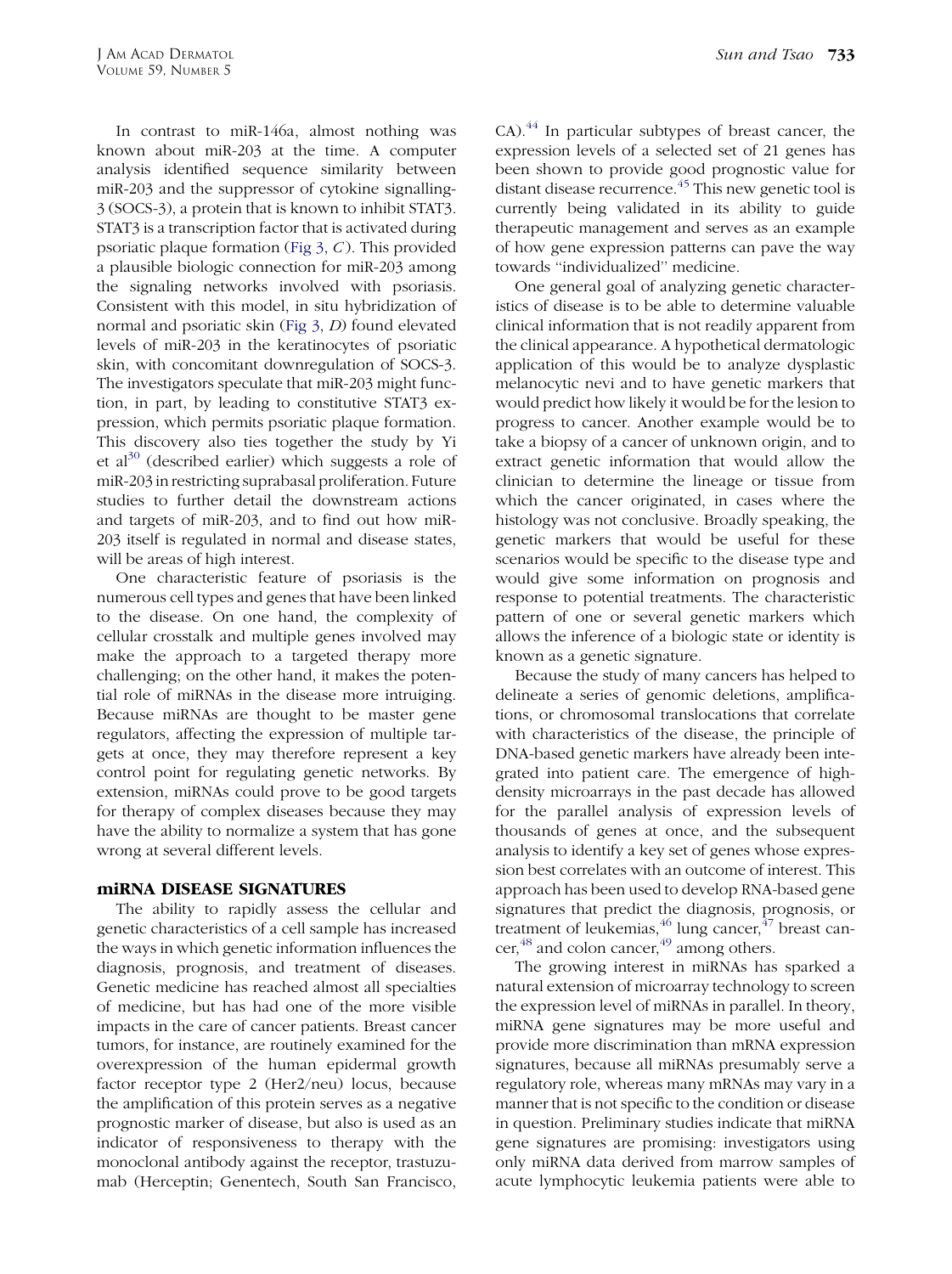In contrast to miR-146a, almost nothing was known about miR-203 at the time. A computer analysis identified sequence similarity between miR-203 and the suppressor of cytokine signalling-3 (SOCS-3), a protein that is known to inhibit STAT3. STAT3 is a transcription factor that is activated during psoriatic plaque formation (Fig  $3, C$ ). This provided a plausible biologic connection for miR-203 among the signaling networks involved with psoriasis. Consistent with this model, in situ hybridization of normal and psoriatic skin ([Fig 3,](#page-5-0) D) found elevated levels of miR-203 in the keratinocytes of psoriatic skin, with concomitant downregulation of SOCS-3. The investigators speculate that miR-203 might function, in part, by leading to constitutive STAT3 expression, which permits psoriatic plaque formation. This discovery also ties together the study by Yi et  $al^{30}$  $al^{30}$  $al^{30}$  (described earlier) which suggests a role of miR-203 in restricting suprabasal proliferation. Future studies to further detail the downstream actions and targets of miR-203, and to find out how miR-203 itself is regulated in normal and disease states, will be areas of high interest.

One characteristic feature of psoriasis is the numerous cell types and genes that have been linked to the disease. On one hand, the complexity of cellular crosstalk and multiple genes involved may make the approach to a targeted therapy more challenging; on the other hand, it makes the potential role of miRNAs in the disease more intruiging. Because miRNAs are thought to be master gene regulators, affecting the expression of multiple targets at once, they may therefore represent a key control point for regulating genetic networks. By extension, miRNAs could prove to be good targets for therapy of complex diseases because they may have the ability to normalize a system that has gone wrong at several different levels.

### miRNA DISEASE SIGNATURES

The ability to rapidly assess the cellular and genetic characteristics of a cell sample has increased the ways in which genetic information influences the diagnosis, prognosis, and treatment of diseases. Genetic medicine has reached almost all specialties of medicine, but has had one of the more visible impacts in the care of cancer patients. Breast cancer tumors, for instance, are routinely examined for the overexpression of the human epidermal growth factor receptor type 2 (Her2/neu) locus, because the amplification of this protein serves as a negative prognostic marker of disease, but also is used as an indicator of responsiveness to therapy with the monoclonal antibody against the receptor, trastuzumab (Herceptin; Genentech, South San Francisco,

 $CA$ <sup>[44](#page-11-0)</sup> In particular subtypes of breast cancer, the expression levels of a selected set of 21 genes has been shown to provide good prognostic value for distant disease recurrence.<sup>45</sup> This new genetic tool is currently being validated in its ability to guide therapeutic management and serves as an example of how gene expression patterns can pave the way towards ''individualized'' medicine.

One general goal of analyzing genetic characteristics of disease is to be able to determine valuable clinical information that is not readily apparent from the clinical appearance. A hypothetical dermatologic application of this would be to analyze dysplastic melanocytic nevi and to have genetic markers that would predict how likely it would be for the lesion to progress to cancer. Another example would be to take a biopsy of a cancer of unknown origin, and to extract genetic information that would allow the clinician to determine the lineage or tissue from which the cancer originated, in cases where the histology was not conclusive. Broadly speaking, the genetic markers that would be useful for these scenarios would be specific to the disease type and would give some information on prognosis and response to potential treatments. The characteristic pattern of one or several genetic markers which allows the inference of a biologic state or identity is known as a genetic signature.

Because the study of many cancers has helped to delineate a series of genomic deletions, amplifications, or chromosomal translocations that correlate with characteristics of the disease, the principle of DNA-based genetic markers have already been integrated into patient care. The emergence of highdensity microarrays in the past decade has allowed for the parallel analysis of expression levels of thousands of genes at once, and the subsequent analysis to identify a key set of genes whose expression best correlates with an outcome of interest. This approach has been used to develop RNA-based gene signatures that predict the diagnosis, prognosis, or treatment of leukemias,  $46$  lung cancer,  $47$  breast cancer,  $48$  and colon cancer,  $49$  among others.

The growing interest in miRNAs has sparked a natural extension of microarray technology to screen the expression level of miRNAs in parallel. In theory, miRNA gene signatures may be more useful and provide more discrimination than mRNA expression signatures, because all miRNAs presumably serve a regulatory role, whereas many mRNAs may vary in a manner that is not specific to the condition or disease in question. Preliminary studies indicate that miRNA gene signatures are promising: investigators using only miRNA data derived from marrow samples of acute lymphocytic leukemia patients were able to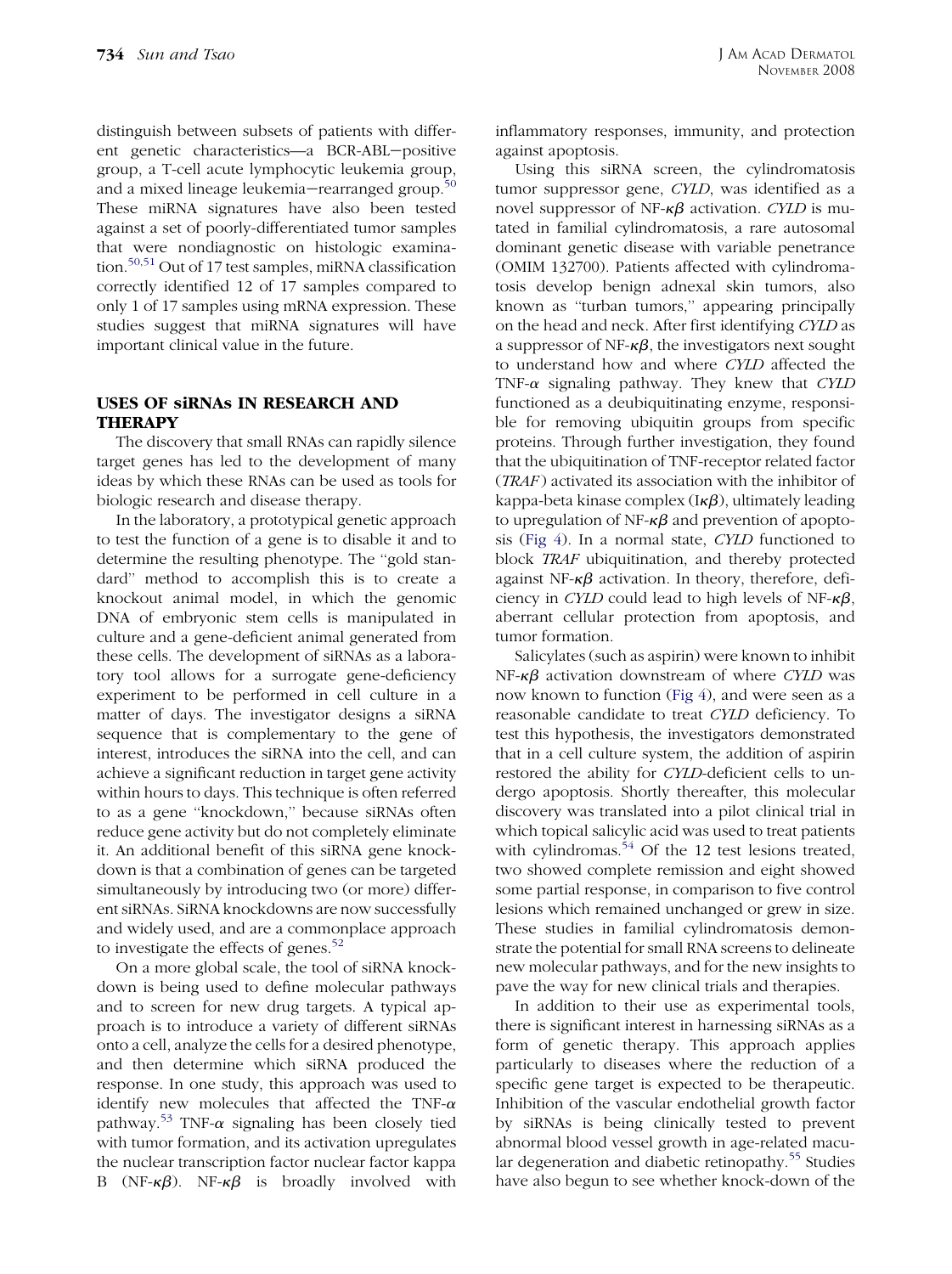distinguish between subsets of patients with different genetic characteristics—a BCR-ABL-positive group, a T-cell acute lymphocytic leukemia group, and a mixed lineage leukemia-rearranged group.<sup>5</sup> These miRNA signatures have also been tested against a set of poorly-differentiated tumor samples that were nondiagnostic on histologic examination.[50,51](#page-11-0) Out of 17 test samples, miRNA classification correctly identified 12 of 17 samples compared to only 1 of 17 samples using mRNA expression. These studies suggest that miRNA signatures will have important clinical value in the future.

### USES OF siRNAs IN RESEARCH AND **THERAPY**

The discovery that small RNAs can rapidly silence target genes has led to the development of many ideas by which these RNAs can be used as tools for biologic research and disease therapy.

In the laboratory, a prototypical genetic approach to test the function of a gene is to disable it and to determine the resulting phenotype. The ''gold standard'' method to accomplish this is to create a knockout animal model, in which the genomic DNA of embryonic stem cells is manipulated in culture and a gene-deficient animal generated from these cells. The development of siRNAs as a laboratory tool allows for a surrogate gene-deficiency experiment to be performed in cell culture in a matter of days. The investigator designs a siRNA sequence that is complementary to the gene of interest, introduces the siRNA into the cell, and can achieve a significant reduction in target gene activity within hours to days. This technique is often referred to as a gene ''knockdown,'' because siRNAs often reduce gene activity but do not completely eliminate it. An additional benefit of this siRNA gene knockdown is that a combination of genes can be targeted simultaneously by introducing two (or more) different siRNAs. SiRNA knockdowns are now successfully and widely used, and are a commonplace approach to investigate the effects of genes. $52$ 

On a more global scale, the tool of siRNA knockdown is being used to define molecular pathways and to screen for new drug targets. A typical approach is to introduce a variety of different siRNAs onto a cell, analyze the cells for a desired phenotype, and then determine which siRNA produced the response. In one study, this approach was used to identify new molecules that affected the TNF- $\alpha$ pathway.<sup>[53](#page-11-0)</sup> TNF- $\alpha$  signaling has been closely tied with tumor formation, and its activation upregulates the nuclear transcription factor nuclear factor kappa B (NF- $\kappa\beta$ ). NF- $\kappa\beta$  is broadly involved with inflammatory responses, immunity, and protection against apoptosis.

Using this siRNA screen, the cylindromatosis tumor suppressor gene, CYLD, was identified as a novel suppressor of NF- $\kappa\beta$  activation. CYLD is mutated in familial cylindromatosis, a rare autosomal dominant genetic disease with variable penetrance (OMIM 132700). Patients affected with cylindromatosis develop benign adnexal skin tumors, also known as ''turban tumors,'' appearing principally on the head and neck. After first identifying CYLD as a suppressor of NF- $\kappa\beta$ , the investigators next sought to understand how and where CYLD affected the TNF- $\alpha$  signaling pathway. They knew that CYLD functioned as a deubiquitinating enzyme, responsible for removing ubiquitin groups from specific proteins. Through further investigation, they found that the ubiquitination of TNF-receptor related factor  $(TRAF)$  activated its association with the inhibitor of kappa-beta kinase complex  $(I \kappa \beta)$ , ultimately leading to upregulation of NF- $\kappa\beta$  and prevention of apoptosis ([Fig 4](#page-10-0)). In a normal state, CYLD functioned to block TRAF ubiquitination, and thereby protected against NF- $\kappa\beta$  activation. In theory, therefore, deficiency in *CYLD* could lead to high levels of NF- $\kappa\beta$ , aberrant cellular protection from apoptosis, and tumor formation.

Salicylates (such as aspirin) were known to inhibit  $NF-\kappa\beta$  activation downstream of where CYLD was now known to function [\(Fig 4](#page-10-0)), and were seen as a reasonable candidate to treat CYLD deficiency. To test this hypothesis, the investigators demonstrated that in a cell culture system, the addition of aspirin restored the ability for CYLD-deficient cells to undergo apoptosis. Shortly thereafter, this molecular discovery was translated into a pilot clinical trial in which topical salicylic acid was used to treat patients with cylindromas. $54$  Of the 12 test lesions treated, two showed complete remission and eight showed some partial response, in comparison to five control lesions which remained unchanged or grew in size. These studies in familial cylindromatosis demonstrate the potential for small RNA screens to delineate new molecular pathways, and for the new insights to pave the way for new clinical trials and therapies.

In addition to their use as experimental tools, there is significant interest in harnessing siRNAs as a form of genetic therapy. This approach applies particularly to diseases where the reduction of a specific gene target is expected to be therapeutic. Inhibition of the vascular endothelial growth factor by siRNAs is being clinically tested to prevent abnormal blood vessel growth in age-related macu-lar degeneration and diabetic retinopathy.<sup>[55](#page-12-0)</sup> Studies have also begun to see whether knock-down of the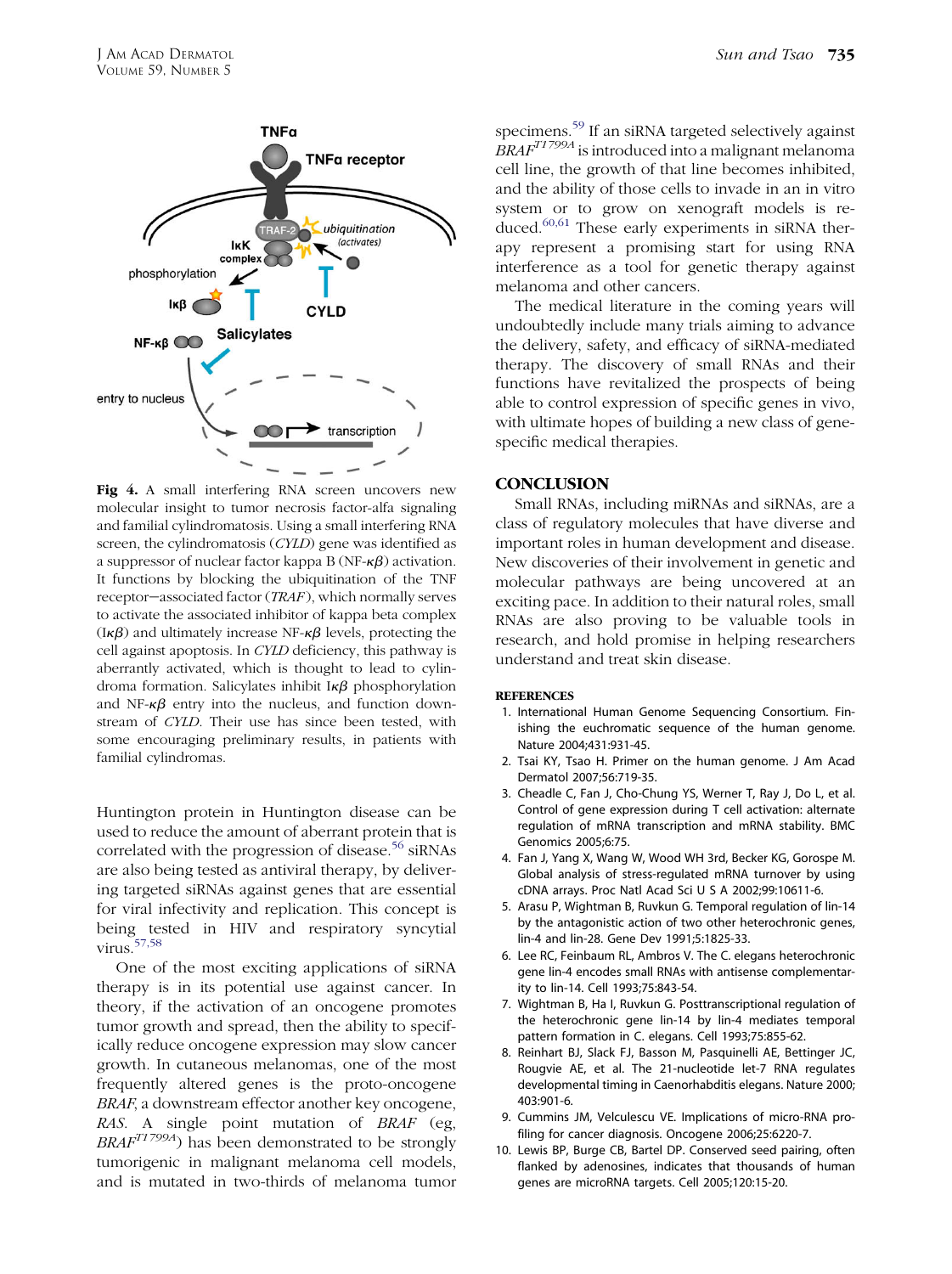<span id="page-10-0"></span>

Fig 4. A small interfering RNA screen uncovers new molecular insight to tumor necrosis factor-alfa signaling and familial cylindromatosis. Using a small interfering RNA screen, the cylindromatosis (CYLD) gene was identified as a suppressor of nuclear factor kappa B (NF- $\kappa\beta$ ) activation. It functions by blocking the ubiquitination of the TNF receptor-associated factor (TRAF), which normally serves to activate the associated inhibitor of kappa beta complex  $(I \kappa \beta)$  and ultimately increase NF- $\kappa \beta$  levels, protecting the cell against apoptosis. In CYLD deficiency, this pathway is aberrantly activated, which is thought to lead to cylindroma formation. Salicylates inhibit  $I \kappa \beta$  phosphorylation and NF- $\kappa\beta$  entry into the nucleus, and function downstream of CYLD. Their use has since been tested, with some encouraging preliminary results, in patients with familial cylindromas.

Huntington protein in Huntington disease can be used to reduce the amount of aberrant protein that is correlated with the progression of disease.<sup>[56](#page-12-0)</sup> siRNAs are also being tested as antiviral therapy, by delivering targeted siRNAs against genes that are essential for viral infectivity and replication. This concept is being tested in HIV and respiratory syncytial virus.<sup>[57,58](#page-12-0)</sup>

One of the most exciting applications of siRNA therapy is in its potential use against cancer. In theory, if the activation of an oncogene promotes tumor growth and spread, then the ability to specifically reduce oncogene expression may slow cancer growth. In cutaneous melanomas, one of the most frequently altered genes is the proto-oncogene BRAF, a downstream effector another key oncogene, RAS. A single point mutation of BRAF (eg,  $BRAF^{T1799A}$ ) has been demonstrated to be strongly tumorigenic in malignant melanoma cell models, and is mutated in two-thirds of melanoma tumor

specimens.[59](#page-12-0) If an siRNA targeted selectively against  $BRAF^{T1799A}$  is introduced into a malignant melanoma cell line, the growth of that line becomes inhibited, and the ability of those cells to invade in an in vitro system or to grow on xenograft models is re-duced.<sup>[60,61](#page-12-0)</sup> These early experiments in siRNA therapy represent a promising start for using RNA interference as a tool for genetic therapy against melanoma and other cancers.

The medical literature in the coming years will undoubtedly include many trials aiming to advance the delivery, safety, and efficacy of siRNA-mediated therapy. The discovery of small RNAs and their functions have revitalized the prospects of being able to control expression of specific genes in vivo, with ultimate hopes of building a new class of genespecific medical therapies.

### **CONCLUSION**

Small RNAs, including miRNAs and siRNAs, are a class of regulatory molecules that have diverse and important roles in human development and disease. New discoveries of their involvement in genetic and molecular pathways are being uncovered at an exciting pace. In addition to their natural roles, small RNAs are also proving to be valuable tools in research, and hold promise in helping researchers understand and treat skin disease.

#### **REFERENCES**

- 1. International Human Genome Sequencing Consortium. Finishing the euchromatic sequence of the human genome. Nature 2004;431:931-45.
- 2. Tsai KY, Tsao H. Primer on the human genome. J Am Acad Dermatol 2007;56:719-35.
- 3. Cheadle C, Fan J, Cho-Chung YS, Werner T, Ray J, Do L, et al. Control of gene expression during T cell activation: alternate regulation of mRNA transcription and mRNA stability. BMC Genomics 2005;6:75.
- 4. Fan J, Yang X, Wang W, Wood WH 3rd, Becker KG, Gorospe M. Global analysis of stress-regulated mRNA turnover by using cDNA arrays. Proc Natl Acad Sci U S A 2002;99:10611-6.
- 5. Arasu P, Wightman B, Ruvkun G. Temporal regulation of lin-14 by the antagonistic action of two other heterochronic genes, lin-4 and lin-28. Gene Dev 1991;5:1825-33.
- 6. Lee RC, Feinbaum RL, Ambros V. The C. elegans heterochronic gene lin-4 encodes small RNAs with antisense complementarity to lin-14. Cell 1993;75:843-54.
- 7. Wightman B, Ha I, Ruvkun G. Posttranscriptional regulation of the heterochronic gene lin-14 by lin-4 mediates temporal pattern formation in C. elegans. Cell 1993;75:855-62.
- 8. Reinhart BJ, Slack FJ, Basson M, Pasquinelli AE, Bettinger JC, Rougvie AE, et al. The 21-nucleotide let-7 RNA regulates developmental timing in Caenorhabditis elegans. Nature 2000; 403:901-6.
- 9. Cummins JM, Velculescu VE. Implications of micro-RNA profiling for cancer diagnosis. Oncogene 2006;25:6220-7.
- 10. Lewis BP, Burge CB, Bartel DP. Conserved seed pairing, often flanked by adenosines, indicates that thousands of human genes are microRNA targets. Cell 2005;120:15-20.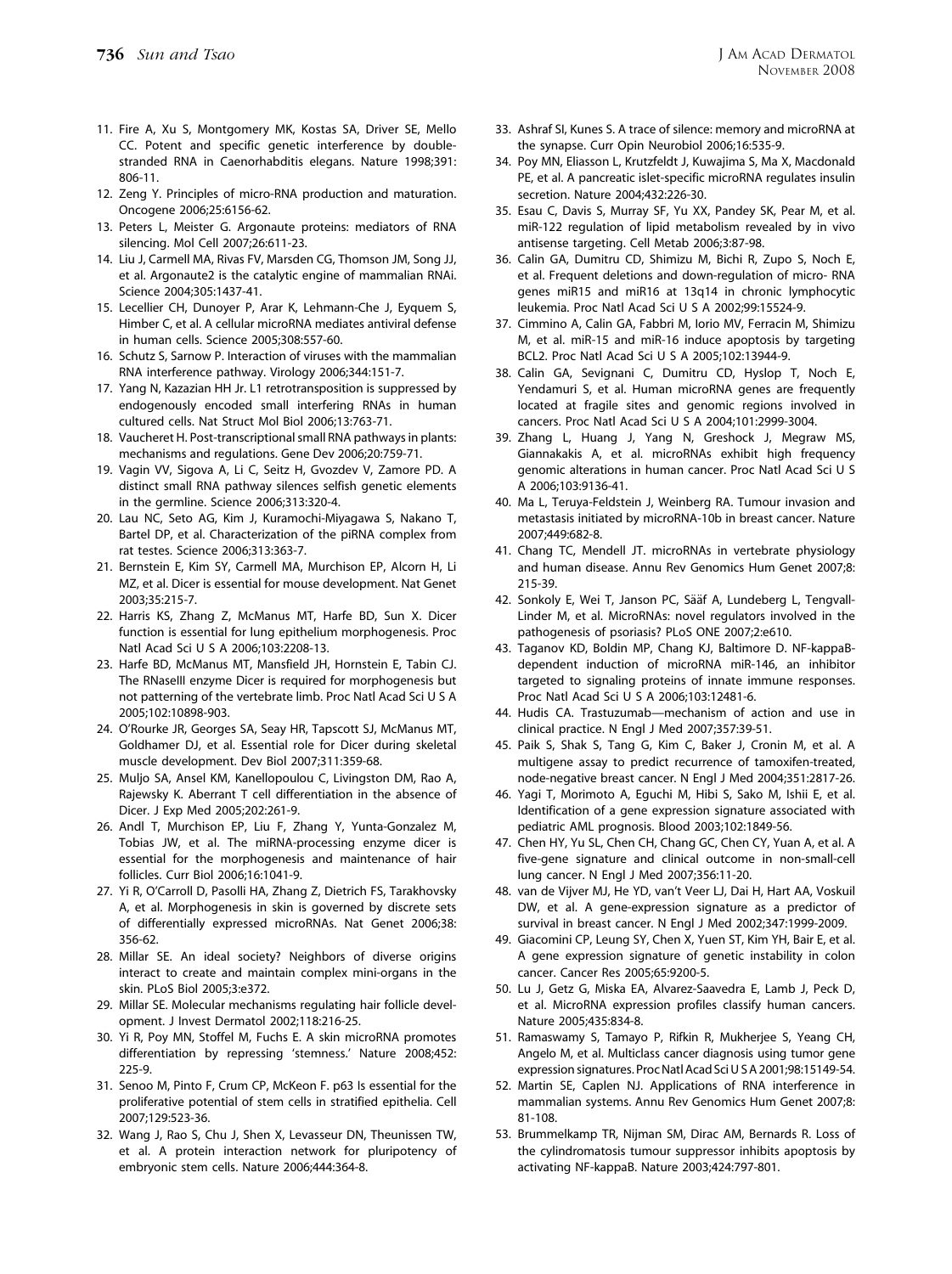- <span id="page-11-0"></span>11. Fire A, Xu S, Montgomery MK, Kostas SA, Driver SE, Mello CC. Potent and specific genetic interference by doublestranded RNA in Caenorhabditis elegans. Nature 1998;391: 806-11.
- 12. Zeng Y. Principles of micro-RNA production and maturation. Oncogene 2006;25:6156-62.
- 13. Peters L, Meister G. Argonaute proteins: mediators of RNA silencing. Mol Cell 2007;26:611-23.
- 14. Liu J, Carmell MA, Rivas FV, Marsden CG, Thomson JM, Song JJ, et al. Argonaute2 is the catalytic engine of mammalian RNAi. Science 2004;305:1437-41.
- 15. Lecellier CH, Dunoyer P, Arar K, Lehmann-Che J, Eyquem S, Himber C, et al. A cellular microRNA mediates antiviral defense in human cells. Science 2005;308:557-60.
- 16. Schutz S, Sarnow P. Interaction of viruses with the mammalian RNA interference pathway. Virology 2006;344:151-7.
- 17. Yang N, Kazazian HH Jr. L1 retrotransposition is suppressed by endogenously encoded small interfering RNAs in human cultured cells. Nat Struct Mol Biol 2006;13:763-71.
- 18. Vaucheret H. Post-transcriptional small RNA pathways in plants: mechanisms and regulations. Gene Dev 2006;20:759-71.
- 19. Vagin VV, Sigova A, Li C, Seitz H, Gvozdev V, Zamore PD. A distinct small RNA pathway silences selfish genetic elements in the germline. Science 2006;313:320-4.
- 20. Lau NC, Seto AG, Kim J, Kuramochi-Miyagawa S, Nakano T, Bartel DP, et al. Characterization of the piRNA complex from rat testes. Science 2006;313:363-7.
- 21. Bernstein E, Kim SY, Carmell MA, Murchison EP, Alcorn H, Li MZ, et al. Dicer is essential for mouse development. Nat Genet 2003;35:215-7.
- 22. Harris KS, Zhang Z, McManus MT, Harfe BD, Sun X. Dicer function is essential for lung epithelium morphogenesis. Proc Natl Acad Sci U S A 2006;103:2208-13.
- 23. Harfe BD, McManus MT, Mansfield JH, Hornstein E, Tabin CJ. The RNaseIII enzyme Dicer is required for morphogenesis but not patterning of the vertebrate limb. Proc Natl Acad Sci U S A 2005;102:10898-903.
- 24. O'Rourke JR, Georges SA, Seay HR, Tapscott SJ, McManus MT, Goldhamer DJ, et al. Essential role for Dicer during skeletal muscle development. Dev Biol 2007;311:359-68.
- 25. Muljo SA, Ansel KM, Kanellopoulou C, Livingston DM, Rao A, Rajewsky K. Aberrant T cell differentiation in the absence of Dicer. J Exp Med 2005;202:261-9.
- 26. Andl T, Murchison EP, Liu F, Zhang Y, Yunta-Gonzalez M, Tobias JW, et al. The miRNA-processing enzyme dicer is essential for the morphogenesis and maintenance of hair follicles. Curr Biol 2006;16:1041-9.
- 27. Yi R, O'Carroll D, Pasolli HA, Zhang Z, Dietrich FS, Tarakhovsky A, et al. Morphogenesis in skin is governed by discrete sets of differentially expressed microRNAs. Nat Genet 2006;38: 356-62.
- 28. Millar SE. An ideal society? Neighbors of diverse origins interact to create and maintain complex mini-organs in the skin. PLoS Biol 2005;3:e372.
- 29. Millar SE. Molecular mechanisms regulating hair follicle development. J Invest Dermatol 2002;118:216-25.
- 30. Yi R, Poy MN, Stoffel M, Fuchs E. A skin microRNA promotes differentiation by repressing 'stemness.' Nature 2008;452: 225-9.
- 31. Senoo M, Pinto F, Crum CP, McKeon F. p63 Is essential for the proliferative potential of stem cells in stratified epithelia. Cell 2007;129:523-36.
- 32. Wang J, Rao S, Chu J, Shen X, Levasseur DN, Theunissen TW, et al. A protein interaction network for pluripotency of embryonic stem cells. Nature 2006;444:364-8.
- 33. Ashraf SI, Kunes S. A trace of silence: memory and microRNA at the synapse. Curr Opin Neurobiol 2006;16:535-9.
- 34. Poy MN, Eliasson L, Krutzfeldt J, Kuwajima S, Ma X, Macdonald PE, et al. A pancreatic islet-specific microRNA regulates insulin secretion. Nature 2004;432:226-30.
- 35. Esau C, Davis S, Murray SF, Yu XX, Pandey SK, Pear M, et al. miR-122 regulation of lipid metabolism revealed by in vivo antisense targeting. Cell Metab 2006;3:87-98.
- 36. Calin GA, Dumitru CD, Shimizu M, Bichi R, Zupo S, Noch E, et al. Frequent deletions and down-regulation of micro- RNA genes miR15 and miR16 at 13q14 in chronic lymphocytic leukemia. Proc Natl Acad Sci U S A 2002;99:15524-9.
- 37. Cimmino A, Calin GA, Fabbri M, Iorio MV, Ferracin M, Shimizu M, et al. miR-15 and miR-16 induce apoptosis by targeting BCL2. Proc Natl Acad Sci U S A 2005;102:13944-9.
- 38. Calin GA, Sevignani C, Dumitru CD, Hyslop T, Noch E, Yendamuri S, et al. Human microRNA genes are frequently located at fragile sites and genomic regions involved in cancers. Proc Natl Acad Sci U S A 2004;101:2999-3004.
- 39. Zhang L, Huang J, Yang N, Greshock J, Megraw MS, Giannakakis A, et al. microRNAs exhibit high frequency genomic alterations in human cancer. Proc Natl Acad Sci U S A 2006;103:9136-41.
- 40. Ma L, Teruya-Feldstein J, Weinberg RA. Tumour invasion and metastasis initiated by microRNA-10b in breast cancer. Nature 2007;449:682-8.
- 41. Chang TC, Mendell JT. microRNAs in vertebrate physiology and human disease. Annu Rev Genomics Hum Genet 2007;8: 215-39.
- 42. Sonkoly E, Wei T, Janson PC, Sääf A, Lundeberg L, Tengvall-Linder M, et al. MicroRNAs: novel regulators involved in the pathogenesis of psoriasis? PLoS ONE 2007;2:e610.
- 43. Taganov KD, Boldin MP, Chang KJ, Baltimore D. NF-kappaBdependent induction of microRNA miR-146, an inhibitor targeted to signaling proteins of innate immune responses. Proc Natl Acad Sci U S A 2006;103:12481-6.
- 44. Hudis CA. Trastuzumab—mechanism of action and use in clinical practice. N Engl J Med 2007;357:39-51.
- 45. Paik S, Shak S, Tang G, Kim C, Baker J, Cronin M, et al. A multigene assay to predict recurrence of tamoxifen-treated, node-negative breast cancer. N Engl J Med 2004;351:2817-26.
- 46. Yagi T, Morimoto A, Eguchi M, Hibi S, Sako M, Ishii E, et al. Identification of a gene expression signature associated with pediatric AML prognosis. Blood 2003;102:1849-56.
- 47. Chen HY, Yu SL, Chen CH, Chang GC, Chen CY, Yuan A, et al. A five-gene signature and clinical outcome in non-small-cell lung cancer. N Engl J Med 2007;356:11-20.
- 48. van de Vijver MJ, He YD, van't Veer LJ, Dai H, Hart AA, Voskuil DW, et al. A gene-expression signature as a predictor of survival in breast cancer. N Engl J Med 2002;347:1999-2009.
- 49. Giacomini CP, Leung SY, Chen X, Yuen ST, Kim YH, Bair E, et al. A gene expression signature of genetic instability in colon cancer. Cancer Res 2005;65:9200-5.
- 50. Lu J, Getz G, Miska EA, Alvarez-Saavedra E, Lamb J, Peck D, et al. MicroRNA expression profiles classify human cancers. Nature 2005;435:834-8.
- 51. Ramaswamy S, Tamayo P, Rifkin R, Mukherjee S, Yeang CH, Angelo M, et al. Multiclass cancer diagnosis using tumor gene expression signatures. Proc Natl Acad Sci U S A 2001;98:15149-54.
- 52. Martin SE, Caplen NJ. Applications of RNA interference in mammalian systems. Annu Rev Genomics Hum Genet 2007;8: 81-108.
- 53. Brummelkamp TR, Nijman SM, Dirac AM, Bernards R. Loss of the cylindromatosis tumour suppressor inhibits apoptosis by activating NF-kappaB. Nature 2003;424:797-801.